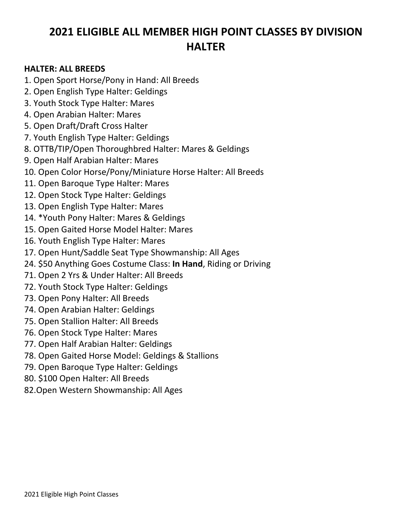### **2021 ELIGIBLE ALL MEMBER HIGH POINT CLASSES BY DIVISION HALTER**

#### **HALTER: ALL BREEDS**

- 1. Open Sport Horse/Pony in Hand: All Breeds
- 2. Open English Type Halter: Geldings
- 3. Youth Stock Type Halter: Mares
- 4. Open Arabian Halter: Mares
- 5. Open Draft/Draft Cross Halter
- 7. Youth English Type Halter: Geldings
- 8. OTTB/TIP/Open Thoroughbred Halter: Mares & Geldings
- 9. Open Half Arabian Halter: Mares
- 10. Open Color Horse/Pony/Miniature Horse Halter: All Breeds
- 11. Open Baroque Type Halter: Mares
- 12. Open Stock Type Halter: Geldings
- 13. Open English Type Halter: Mares
- 14. \*Youth Pony Halter: Mares & Geldings
- 15. Open Gaited Horse Model Halter: Mares
- 16. Youth English Type Halter: Mares
- 17. Open Hunt/Saddle Seat Type Showmanship: All Ages
- 24. \$50 Anything Goes Costume Class: **In Hand**, Riding or Driving
- 71. Open 2 Yrs & Under Halter: All Breeds
- 72. Youth Stock Type Halter: Geldings
- 73. Open Pony Halter: All Breeds
- 74. Open Arabian Halter: Geldings
- 75. Open Stallion Halter: All Breeds
- 76. Open Stock Type Halter: Mares
- 77. Open Half Arabian Halter: Geldings
- 78. Open Gaited Horse Model: Geldings & Stallions
- 79. Open Baroque Type Halter: Geldings
- 80. \$100 Open Halter: All Breeds
- 82.Open Western Showmanship: All Ages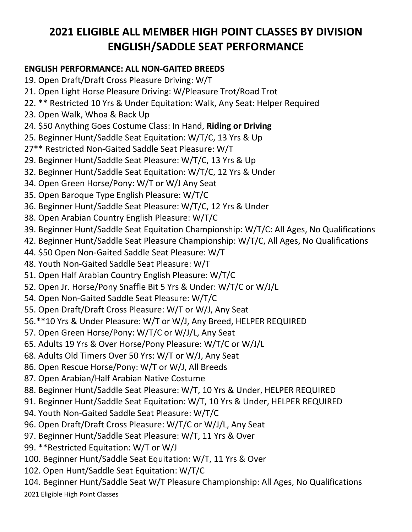## **2021 ELIGIBLE ALL MEMBER HIGH POINT CLASSES BY DIVISION ENGLISH/SADDLE SEAT PERFORMANCE**

#### **ENGLISH PERFORMANCE: ALL NON-GAITED BREEDS**

- 19. Open Draft/Draft Cross Pleasure Driving: W/T
- 21. Open Light Horse Pleasure Driving: W/Pleasure Trot/Road Trot
- 22. \*\* Restricted 10 Yrs & Under Equitation: Walk, Any Seat: Helper Required
- 23. Open Walk, Whoa & Back Up
- 24. \$50 Anything Goes Costume Class: In Hand, **Riding or Driving**
- 25. Beginner Hunt/Saddle Seat Equitation: W/T/C, 13 Yrs & Up
- 27\*\* Restricted Non-Gaited Saddle Seat Pleasure: W/T
- 29. Beginner Hunt/Saddle Seat Pleasure: W/T/C, 13 Yrs & Up
- 32. Beginner Hunt/Saddle Seat Equitation: W/T/C, 12 Yrs & Under
- 34. Open Green Horse/Pony: W/T or W/J Any Seat
- 35. Open Baroque Type English Pleasure: W/T/C
- 36. Beginner Hunt/Saddle Seat Pleasure: W/T/C, 12 Yrs & Under
- 38. Open Arabian Country English Pleasure: W/T/C
- 39. Beginner Hunt/Saddle Seat Equitation Championship: W/T/C: All Ages, No Qualifications
- 42. Beginner Hunt/Saddle Seat Pleasure Championship: W/T/C, All Ages, No Qualifications
- 44. \$50 Open Non-Gaited Saddle Seat Pleasure: W/T
- 48. Youth Non-Gaited Saddle Seat Pleasure: W/T
- 51. Open Half Arabian Country English Pleasure: W/T/C
- 52. Open Jr. Horse/Pony Snaffle Bit 5 Yrs & Under: W/T/C or W/J/L
- 54. Open Non-Gaited Saddle Seat Pleasure: W/T/C
- 55. Open Draft/Draft Cross Pleasure: W/T or W/J, Any Seat
- 56.\*\*10 Yrs & Under Pleasure: W/T or W/J, Any Breed, HELPER REQUIRED
- 57. Open Green Horse/Pony: W/T/C or W/J/L, Any Seat
- 65. Adults 19 Yrs & Over Horse/Pony Pleasure: W/T/C or W/J/L
- 68. Adults Old Timers Over 50 Yrs: W/T or W/J, Any Seat
- 86. Open Rescue Horse/Pony: W/T or W/J, All Breeds
- 87. Open Arabian/Half Arabian Native Costume
- 88. Beginner Hunt/Saddle Seat Pleasure: W/T, 10 Yrs & Under, HELPER REQUIRED
- 91. Beginner Hunt/Saddle Seat Equitation: W/T, 10 Yrs & Under, HELPER REQUIRED
- 94. Youth Non-Gaited Saddle Seat Pleasure: W/T/C
- 96. Open Draft/Draft Cross Pleasure: W/T/C or W/J/L, Any Seat
- 97. Beginner Hunt/Saddle Seat Pleasure: W/T, 11 Yrs & Over
- 99. \*\*Restricted Equitation: W/T or W/J
- 100. Beginner Hunt/Saddle Seat Equitation: W/T, 11 Yrs & Over
- 102. Open Hunt/Saddle Seat Equitation: W/T/C
- 104. Beginner Hunt/Saddle Seat W/T Pleasure Championship: All Ages, No Qualifications
- 2021 Eligible High Point Classes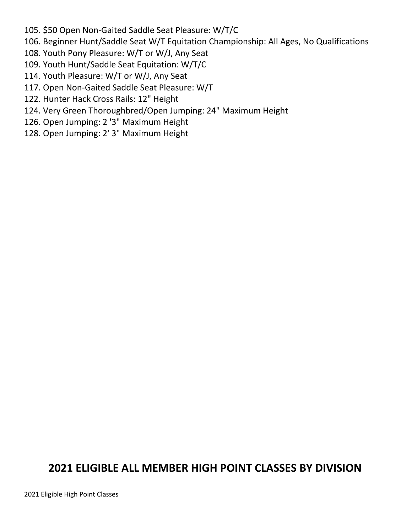- 105. \$50 Open Non-Gaited Saddle Seat Pleasure: W/T/C
- 106. Beginner Hunt/Saddle Seat W/T Equitation Championship: All Ages, No Qualifications
- 108. Youth Pony Pleasure: W/T or W/J, Any Seat
- 109. Youth Hunt/Saddle Seat Equitation: W/T/C
- 114. Youth Pleasure: W/T or W/J, Any Seat
- 117. Open Non-Gaited Saddle Seat Pleasure: W/T
- 122. Hunter Hack Cross Rails: 12" Height
- 124. Very Green Thoroughbred/Open Jumping: 24" Maximum Height
- 126. Open Jumping: 2 '3" Maximum Height
- 128. Open Jumping: 2' 3" Maximum Height

## **2021 ELIGIBLE ALL MEMBER HIGH POINT CLASSES BY DIVISION**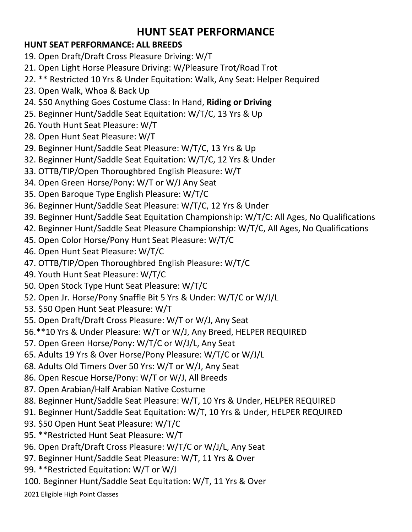### **HUNT SEAT PERFORMANCE**

#### **HUNT SEAT PERFORMANCE: ALL BREEDS**

- 19. Open Draft/Draft Cross Pleasure Driving: W/T
- 21. Open Light Horse Pleasure Driving: W/Pleasure Trot/Road Trot
- 22. \*\* Restricted 10 Yrs & Under Equitation: Walk, Any Seat: Helper Required
- 23. Open Walk, Whoa & Back Up
- 24. \$50 Anything Goes Costume Class: In Hand, **Riding or Driving**
- 25. Beginner Hunt/Saddle Seat Equitation: W/T/C, 13 Yrs & Up
- 26. Youth Hunt Seat Pleasure: W/T
- 28. Open Hunt Seat Pleasure: W/T
- 29. Beginner Hunt/Saddle Seat Pleasure: W/T/C, 13 Yrs & Up
- 32. Beginner Hunt/Saddle Seat Equitation: W/T/C, 12 Yrs & Under
- 33. OTTB/TIP/Open Thoroughbred English Pleasure: W/T
- 34. Open Green Horse/Pony: W/T or W/J Any Seat
- 35. Open Baroque Type English Pleasure: W/T/C
- 36. Beginner Hunt/Saddle Seat Pleasure: W/T/C, 12 Yrs & Under
- 39. Beginner Hunt/Saddle Seat Equitation Championship: W/T/C: All Ages, No Qualifications
- 42. Beginner Hunt/Saddle Seat Pleasure Championship: W/T/C, All Ages, No Qualifications
- 45. Open Color Horse/Pony Hunt Seat Pleasure: W/T/C
- 46. Open Hunt Seat Pleasure: W/T/C
- 47. OTTB/TIP/Open Thoroughbred English Pleasure: W/T/C
- 49. Youth Hunt Seat Pleasure: W/T/C
- 50. Open Stock Type Hunt Seat Pleasure: W/T/C
- 52. Open Jr. Horse/Pony Snaffle Bit 5 Yrs & Under: W/T/C or W/J/L
- 53. \$50 Open Hunt Seat Pleasure: W/T
- 55. Open Draft/Draft Cross Pleasure: W/T or W/J, Any Seat
- 56.\*\*10 Yrs & Under Pleasure: W/T or W/J, Any Breed, HELPER REQUIRED
- 57. Open Green Horse/Pony: W/T/C or W/J/L, Any Seat
- 65. Adults 19 Yrs & Over Horse/Pony Pleasure: W/T/C or W/J/L
- 68. Adults Old Timers Over 50 Yrs: W/T or W/J, Any Seat
- 86. Open Rescue Horse/Pony: W/T or W/J, All Breeds
- 87. Open Arabian/Half Arabian Native Costume
- 88. Beginner Hunt/Saddle Seat Pleasure: W/T, 10 Yrs & Under, HELPER REQUIRED
- 91. Beginner Hunt/Saddle Seat Equitation: W/T, 10 Yrs & Under, HELPER REQUIRED
- 93. \$50 Open Hunt Seat Pleasure: W/T/C
- 95. \*\*Restricted Hunt Seat Pleasure: W/T
- 96. Open Draft/Draft Cross Pleasure: W/T/C or W/J/L, Any Seat
- 97. Beginner Hunt/Saddle Seat Pleasure: W/T, 11 Yrs & Over
- 99. \*\*Restricted Equitation: W/T or W/J
- 100. Beginner Hunt/Saddle Seat Equitation: W/T, 11 Yrs & Over
- 2021 Eligible High Point Classes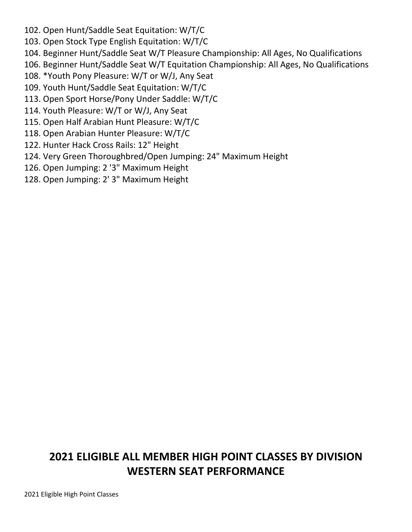- 102. Open Hunt/Saddle Seat Equitation: W/T/C
- 103. Open Stock Type English Equitation: W/T/C
- 104. Beginner Hunt/Saddle Seat W/T Pleasure Championship: All Ages, No Qualifications
- 106. Beginner Hunt/Saddle Seat W/T Equitation Championship: All Ages, No Qualifications
- 108. \*Youth Pony Pleasure: W/T or W/J, Any Seat
- 109. Youth Hunt/Saddle Seat Equitation: W/T/C
- 113. Open Sport Horse/Pony Under Saddle: W/T/C
- 114. Youth Pleasure: W/T or W/J, Any Seat
- 115. Open Half Arabian Hunt Pleasure: W/T/C
- 118. Open Arabian Hunter Pleasure: W/T/C
- 122. Hunter Hack Cross Rails: 12" Height
- 124. Very Green Thoroughbred/Open Jumping: 24" Maximum Height
- 126. Open Jumping: 2 '3" Maximum Height
- 128. Open Jumping: 2' 3" Maximum Height

### **2021 ELIGIBLE ALL MEMBER HIGH POINT CLASSES BY DIVISION WESTERN SEAT PERFORMANCE**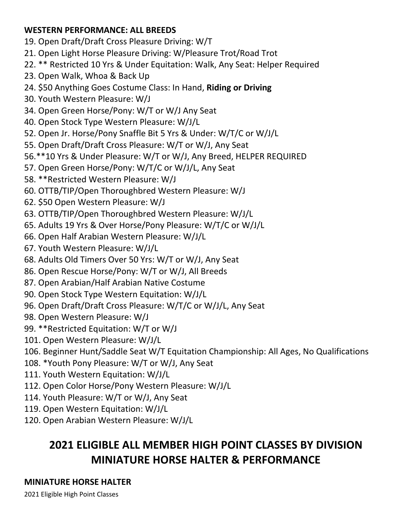#### **WESTERN PERFORMANCE: ALL BREEDS**

19. Open Draft/Draft Cross Pleasure Driving: W/T

21. Open Light Horse Pleasure Driving: W/Pleasure Trot/Road Trot

22. \*\* Restricted 10 Yrs & Under Equitation: Walk, Any Seat: Helper Required

- 23. Open Walk, Whoa & Back Up
- 24. \$50 Anything Goes Costume Class: In Hand, **Riding or Driving**

30. Youth Western Pleasure: W/J

- 34. Open Green Horse/Pony: W/T or W/J Any Seat
- 40. Open Stock Type Western Pleasure: W/J/L
- 52. Open Jr. Horse/Pony Snaffle Bit 5 Yrs & Under: W/T/C or W/J/L
- 55. Open Draft/Draft Cross Pleasure: W/T or W/J, Any Seat
- 56.\*\*10 Yrs & Under Pleasure: W/T or W/J, Any Breed, HELPER REQUIRED
- 57. Open Green Horse/Pony: W/T/C or W/J/L, Any Seat
- 58. \*\*Restricted Western Pleasure: W/J
- 60. OTTB/TIP/Open Thoroughbred Western Pleasure: W/J
- 62. \$50 Open Western Pleasure: W/J
- 63. OTTB/TIP/Open Thoroughbred Western Pleasure: W/J/L
- 65. Adults 19 Yrs & Over Horse/Pony Pleasure: W/T/C or W/J/L
- 66. Open Half Arabian Western Pleasure: W/J/L
- 67. Youth Western Pleasure: W/J/L
- 68. Adults Old Timers Over 50 Yrs: W/T or W/J, Any Seat
- 86. Open Rescue Horse/Pony: W/T or W/J, All Breeds
- 87. Open Arabian/Half Arabian Native Costume
- 90. Open Stock Type Western Equitation: W/J/L
- 96. Open Draft/Draft Cross Pleasure: W/T/C or W/J/L, Any Seat
- 98. Open Western Pleasure: W/J
- 99. \*\*Restricted Equitation: W/T or W/J
- 101. Open Western Pleasure: W/J/L
- 106. Beginner Hunt/Saddle Seat W/T Equitation Championship: All Ages, No Qualifications
- 108. \*Youth Pony Pleasure: W/T or W/J, Any Seat
- 111. Youth Western Equitation: W/J/L
- 112. Open Color Horse/Pony Western Pleasure: W/J/L
- 114. Youth Pleasure: W/T or W/J, Any Seat
- 119. Open Western Equitation: W/J/L
- 120. Open Arabian Western Pleasure: W/J/L

## **2021 ELIGIBLE ALL MEMBER HIGH POINT CLASSES BY DIVISION MINIATURE HORSE HALTER & PERFORMANCE**

#### **MINIATURE HORSE HALTER**

2021 Eligible High Point Classes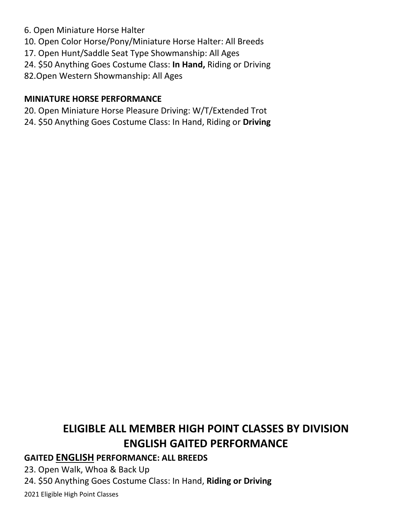- 6. Open Miniature Horse Halter
- 10. Open Color Horse/Pony/Miniature Horse Halter: All Breeds
- 17. Open Hunt/Saddle Seat Type Showmanship: All Ages
- 24. \$50 Anything Goes Costume Class: **In Hand,** Riding or Driving
- 82.Open Western Showmanship: All Ages

#### **MINIATURE HORSE PERFORMANCE**

- 20. Open Miniature Horse Pleasure Driving: W/T/Extended Trot
- 24. \$50 Anything Goes Costume Class: In Hand, Riding or **Driving**

# **ELIGIBLE ALL MEMBER HIGH POINT CLASSES BY DIVISION ENGLISH GAITED PERFORMANCE**

#### **GAITED ENGLISH PERFORMANCE: ALL BREEDS**

23. Open Walk, Whoa & Back Up

24. \$50 Anything Goes Costume Class: In Hand, **Riding or Driving**

2021 Eligible High Point Classes